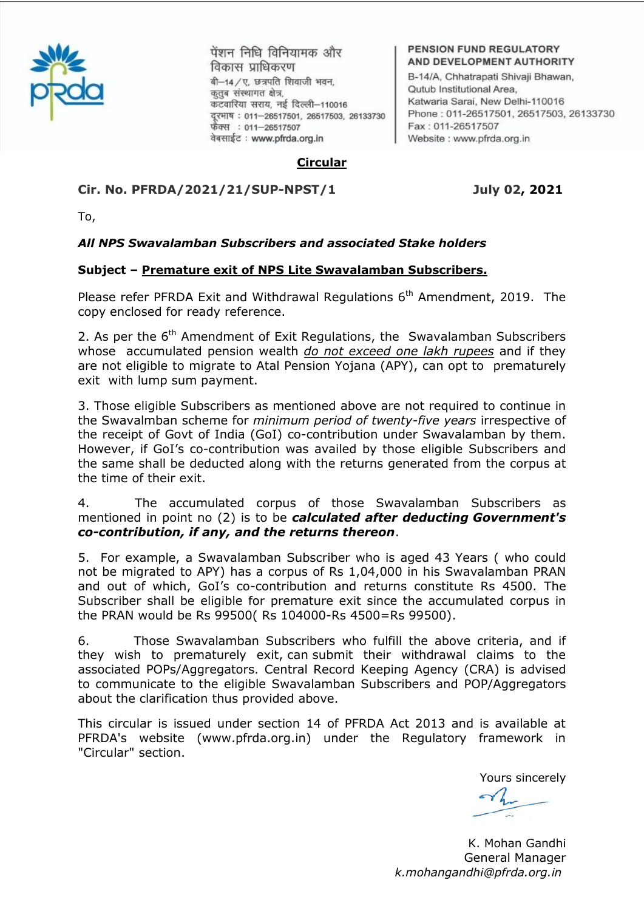

पेंशन निधि विनियामक और विकास प्राधिकरण बी-14/ए. छत्रपति शिवाजी भवन, कृतुब संस्थागत क्षेत्र, कटवारिया सराय, नई दिल्ली-110016 दरमाष: 011-26517501, 26517503, 26133730 फैक्स: 011-26517507 वेबसाईट: www.pfrda.org.in

#### **PENSION FUND REGULATORY** AND DEVELOPMENT AUTHORITY

B-14/A, Chhatrapati Shivaji Bhawan, Qutub Institutional Area. Katwaria Sarai, New Delhi-110016 Phone: 011-26517501, 26517503, 26133730 Fax: 011-26517507 Website : www.pfrda.org.in

## **Circular**

## **Cir. No. PFRDA/2021/21/SUP-NPST/1 July 02, 2021**

To,

## *All NPS Swavalamban Subscribers and associated Stake holders*

## **Subject – Premature exit of NPS Lite Swavalamban Subscribers.**

Please refer PFRDA Exit and Withdrawal Regulations  $6<sup>th</sup>$  Amendment, 2019. The copy enclosed for ready reference.

2. As per the  $6<sup>th</sup>$  Amendment of Exit Regulations, the Swavalamban Subscribers whose accumulated pension wealth *do not exceed one lakh rupees* and if they are not eligible to migrate to Atal Pension Yojana (APY), can opt to prematurely exit with lump sum payment.

3. Those eligible Subscribers as mentioned above are not required to continue in the Swavalmban scheme for *minimum period of twenty-five years* irrespective of the receipt of Govt of India (GoI) co-contribution under Swavalamban by them. However, if GoI's co-contribution was availed by those eligible Subscribers and the same shall be deducted along with the returns generated from the corpus at the time of their exit.

4. The accumulated corpus of those Swavalamban Subscribers as mentioned in point no (2) is to be *calculated after deducting Government's co-contribution, if any, and the returns thereon*.

5. For example, a Swavalamban Subscriber who is aged 43 Years ( who could not be migrated to APY) has a corpus of Rs 1,04,000 in his Swavalamban PRAN and out of which, GoI's co-contribution and returns constitute Rs 4500. The Subscriber shall be eligible for premature exit since the accumulated corpus in the PRAN would be Rs 99500( Rs 104000-Rs 4500=Rs 99500).

6. Those Swavalamban Subscribers who fulfill the above criteria, and if they wish to prematurely exit, can submit their withdrawal claims to the associated POPs/Aggregators. Central Record Keeping Agency (CRA) is advised to communicate to the eligible Swavalamban Subscribers and POP/Aggregators about the clarification thus provided above.

This circular is issued under section 14 of PFRDA Act 2013 and is available at PFRDA's website (www.pfrda.org.in) under the Regulatory framework in "Circular" section.

Yours sincerely

K. Mohan Gandhi General Manager *k.mohangandhi@pfrda.org.in*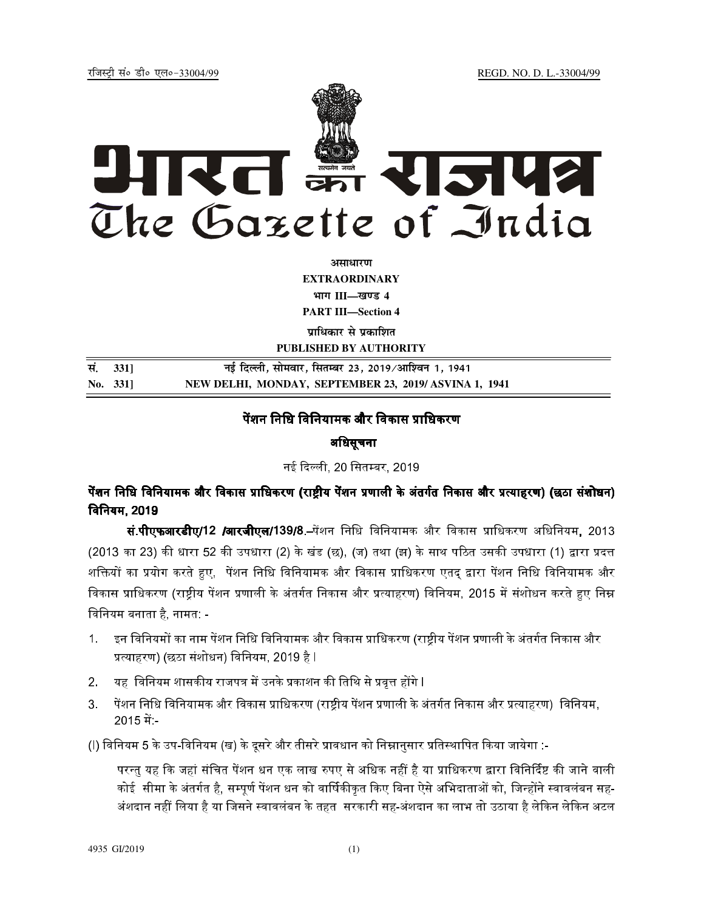jftLVªh laö Mhö ,yö&33004@99 REGD. NO. D. L.-33004/99



**vlk/kj.k EXTRAORDINARY**  $4$ **HIT III—**<br>**limits** 

**PART III—Section 4** 

**प्राधिकार से प्रकाशित PUBLISHED BY AUTHORITY**

| सं. 331] | नई दिल्ली, सोमवार, सितम्बर 23, 2019/आश्विन 1, 1941   |
|----------|------------------------------------------------------|
| No. 331  | NEW DELHI, MONDAY, SEPTEMBER 23, 2019/ASVINA 1, 1941 |

#### पेंशन निधि विनियामक और विकास प्राधिकरण

### अधिसूचना

नई दिल्ली. 20 सितम्बर. 2019.

पेंशन निधि विनियामक और विकास प्राधिकरण (राष्टीय पेंशन प्रणाली के अंतर्गत निकास और प्रत्याहरण) (छठा संशोधन) विनियम, 2019

**सं.पीएफआरडीए/12 /आरजीएल/139/8.–**पेंशन निधि विनियामक और विकास प्राधिकरण अधिनियम. 2013 (2013 का 23) की धारा 52 की उपधारा (2) के खंड (छ), (ज) तथा (झ) के साथ पठित उसकी उपधारा (1) द्वारा प्रदत्त शक्तियों का प्रयोग करते हए. पेंशन निधि विनियामक और विकास प्राधिकरण एतद द्वारा पेंशन निधि विनियामक और विकास प्राधिकरण (राष्टीय पेंशन प्रणाली के अंतर्गत निकास और प्रत्याहरण) विनियम. 2015 में संशोधन करते हुए निम्न िविनयम बनाता है, नामत: -

- 1. इन विनियमों का नाम पेंशन निधि विनियामक और विकास प्राधिकरण (राष्टीय पेंशन प्रणाली के अंतर्गत निकास और प्रत्याहरण) (छठा संशोधन) विनियम, 2019 है I
- 2. यह विनियम शासकीय राजपत्र में उनके प्रकाशन की तिथि से प्रवत्त होंगे I
- 3. पेंशन निधि विनियामक और विकास प्राधिकरण (राष्टीय पेंशन प्रणाली के अंतर्गत निकास और प्रत्याहरण) विनियम.  $2015 \; \hat{H}$  -

(I) विनियम 5 के उप-विनियम (ख) के दसरे और तीसरे प्रावधान को निम्नानसार प्रतिस्थापित किया जायेगा :-

परन्तु यह कि जहां संचित पेंशन धन एक लाख रुपए से अधिक नहीं है या प्राधिकरण द्वारा विनिर्दिष्ट की जाने वाली कोई सीमा के अंतर्गत है, सम्पर्ण पेंशन धन को वार्षिकीकत किए बिना ऐसे अभिदाताओं को, जिन्होंने स्वावलंबन सह-अंशदान नहीं लिया है या जिसने स्वावलंबन के तहत सरकारी सह-अंशदान का लाभ तो उठाया है लेकिन लेकिन अटल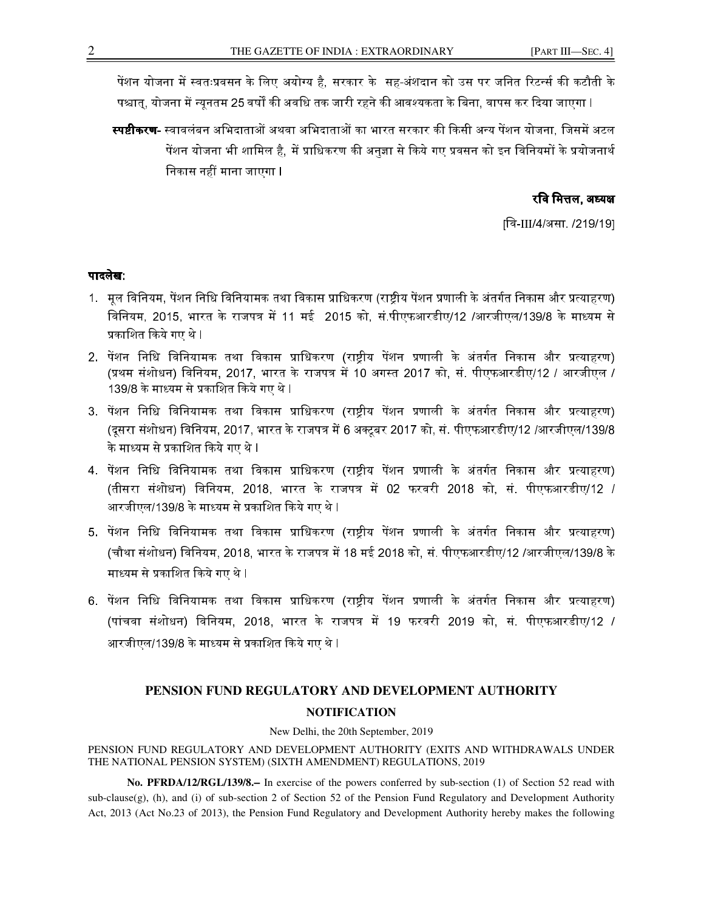पेंशन योजना में स्वतःप्रवसन के लिए अयोग्य है. सरकार के सह-अंशदान को उस पर जनित रिटर्न्स की कटौती के पश्चात. योजना में न्यनतम 25 वर्षों की अवधि तक जारी रहने की आवश्यकता के बिना. वापस कर दिया जाएगा I

**स्पष्टीकरण-** स्वावलंबन अभिदाताओं अथवा अभिदाताओं का भारत सरकार की किसी अन्य पेंशन योजना. जिसमें अटल पेंशन योजना भी शामिल है. में प्राधिकरण की अनजा से किये गए प्रवसन को इन विनियमों के प्रयोजनार्थ निकास नहीं माना जाएगा l

#### रवि मित्तल, अध्यक्ष

[िव-III/4/असा. /219/19]

#### पादलेख:

- 1. मल विनियम, पेंशन निधि विनियामक तथा विकास प्राधिकरण (राष्टीय पेंशन प्रणाली के अंतर्गत निकास और प्रत्याहरण) विनियम. 2015. भारत के राजपत्र में 11 मई 2015 को. सं.पीएफआरडीए/12 /आरजीएल/139/8 के माध्यम से प्रकाशित किये गए थे I
- 2. पेंशन निधि विनियामक तथा विकास प्राधिकरण (राष्टीय पेंशन प्रणाली के अंतर्गत निकास और प्रत्याहरण) (प्रथम संशोधन) विनियम. 2017. भारत के राजपत्र में 10 अगस्त 2017 को. सं. पीएफआरडीए/12 / आरजीएल / 139/8 के माध्यम से प्रकाशित किये गए थे l
- 3. पेंशन निधि विनियामक तथा विकास प्राधिकरण (राष्टीय पेंशन प्रणाली के अंतर्गत निकास और प्रत्याहरण) (दसरा संशोधन) विनियम, 2017, भारत के राजपत्र में 6 अक्टबर 2017 को. सं. पीएफआरडीए/12 /आरजीएल/139/8 के माध्यम से प्रकाशित किये गए थे I
- 4. पेंशन निधि विनियामक तथा विकास प्राधिकरण (राष्टीय पेंशन प्रणाली के अंतर्गत निकास और प्रत्याहरण) (तीसरा संशोधन) विनियम, 2018, भारत के राजपत्र में 02 फरवरी 2018 को, सं. पीएफआरडीए/12 *I* आरजीएल/139/8 के माध्यम से प्रकाशित किये गए थे I
- 5. पेंशन निधि विनियामक तथा विकास प्राधिकरण (राष्ट्रीय पेंशन प्रणाली के अंतर्गत निकास और प्रत्याहरण) (चौथा संशोधन) विनियम, 2018, भारत के राजपत्र में 18 मई 2018 को, सं. पीएफआरडीए/12 /आरजीएल/139/8 के माध्यम से प्रकाशित किये गए थे I
- 6. पेंशन निधि विनियामक तथा विकास प्राधिकरण (राष्ट्रीय पेंशन प्रणाली के अंतर्गत निकास और प्रत्याहरण) (पांचवा संशोधन) विनियम, 2018, भारत के राजपत्र में 19 फरवरी 2019 को, सं. पीएफआरडीए/12 / आरजीएल/139/8 के माध्यम से प्रकाशित किये गए थे I

# **PENSION FUND REGULATORY AND DEVELOPMENT AUTHORITY NOTIFICATION**

#### New Delhi, the 20th September, 2019

PENSION FUND REGULATORY AND DEVELOPMENT AUTHORITY (EXITS AND WITHDRAWALS UNDER THE NATIONAL PENSION SYSTEM) (SIXTH AMENDMENT) REGULATIONS, 2019

 **No. PFRDA/12/RGL/139/8.**— In exercise of the powers conferred by sub-section (1) of Section 52 read with sub-clause(g), (h), and (i) of sub-section 2 of Section 52 of the Pension Fund Regulatory and Development Authority Act, 2013 (Act No.23 of 2013), the Pension Fund Regulatory and Development Authority hereby makes the following